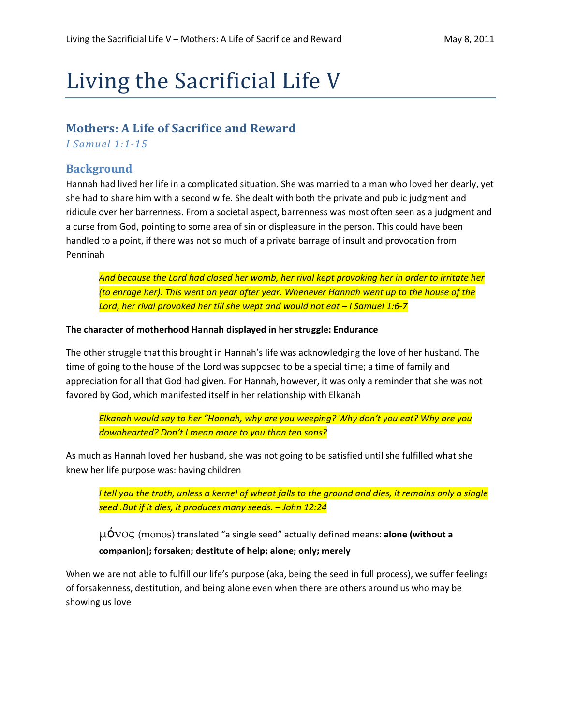# Living the Sacrificial Life V

# Mothers: A Life of Sacrifice and Reward

I Samuel 1:1-15

#### **Background**

Hannah had lived her life in a complicated situation. She was married to a man who loved her dearly, yet she had to share him with a second wife. She dealt with both the private and public judgment and ridicule over her barrenness. From a societal aspect, barrenness was most often seen as a judgment and a curse from God, pointing to some area of sin or displeasure in the person. This could have been handled to a point, if there was not so much of a private barrage of insult and provocation from Penninah

And because the Lord had closed her womb, her rival kept provoking her in order to irritate her (to enrage her). This went on year after year. Whenever Hannah went up to the house of the Lord, her rival provoked her till she wept and would not eat – I Samuel 1:6-7

#### The character of motherhood Hannah displayed in her struggle: Endurance

The other struggle that this brought in Hannah's life was acknowledging the love of her husband. The time of going to the house of the Lord was supposed to be a special time; a time of family and appreciation for all that God had given. For Hannah, however, it was only a reminder that she was not favored by God, which manifested itself in her relationship with Elkanah

Elkanah would say to her "Hannah, why are you weeping? Why don't you eat? Why are you downhearted? Don't I mean more to you than ten sons?

As much as Hannah loved her husband, she was not going to be satisfied until she fulfilled what she knew her life purpose was: having children

I tell you the truth, unless a kernel of wheat falls to the ground and dies, it remains only a single seed .But if it dies, it produces many seeds. – John 12:24

 $\mu$ O $\gamma$  (monos) translated "a single seed" actually defined means: alone (without a companion); forsaken; destitute of help; alone; only; merely

When we are not able to fulfill our life's purpose (aka, being the seed in full process), we suffer feelings of forsakenness, destitution, and being alone even when there are others around us who may be showing us love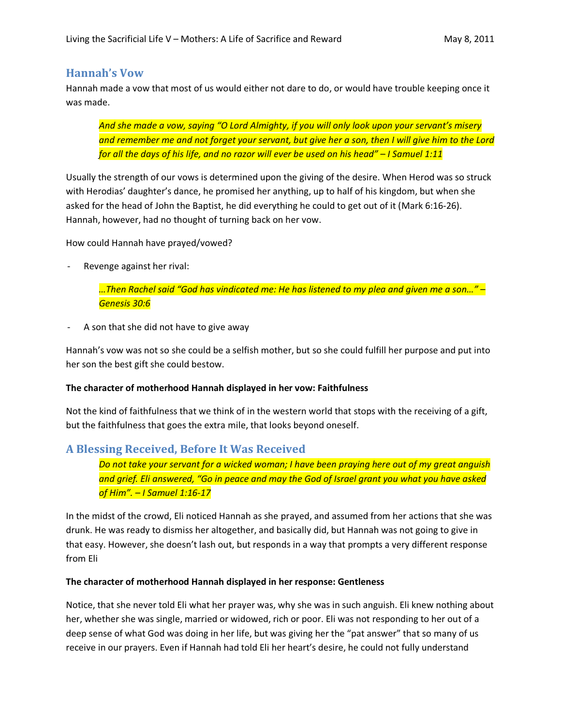# Hannah's Vow

Hannah made a vow that most of us would either not dare to do, or would have trouble keeping once it was made.

And she made a vow, saying "O Lord Almighty, if you will only look upon your servant's misery and remember me and not forget your servant, but give her a son, then I will give him to the Lord for all the days of his life, and no razor will ever be used on his head" – I Samuel 1:11

Usually the strength of our vows is determined upon the giving of the desire. When Herod was so struck with Herodias' daughter's dance, he promised her anything, up to half of his kingdom, but when she asked for the head of John the Baptist, he did everything he could to get out of it (Mark 6:16-26). Hannah, however, had no thought of turning back on her vow.

How could Hannah have prayed/vowed?

Revenge against her rival:

…Then Rachel said "God has vindicated me: He has listened to my plea and given me a son…" – Genesis 30:6

A son that she did not have to give away

Hannah's vow was not so she could be a selfish mother, but so she could fulfill her purpose and put into her son the best gift she could bestow.

## The character of motherhood Hannah displayed in her vow: Faithfulness

Not the kind of faithfulness that we think of in the western world that stops with the receiving of a gift, but the faithfulness that goes the extra mile, that looks beyond oneself.

# A Blessing Received, Before It Was Received

Do not take your servant for a wicked woman; I have been praying here out of my great anguish and grief. Eli answered, "Go in peace and may the God of Israel grant you what you have asked of Him". – I Samuel 1:16-17

In the midst of the crowd, Eli noticed Hannah as she prayed, and assumed from her actions that she was drunk. He was ready to dismiss her altogether, and basically did, but Hannah was not going to give in that easy. However, she doesn't lash out, but responds in a way that prompts a very different response from Eli

## The character of motherhood Hannah displayed in her response: Gentleness

Notice, that she never told Eli what her prayer was, why she was in such anguish. Eli knew nothing about her, whether she was single, married or widowed, rich or poor. Eli was not responding to her out of a deep sense of what God was doing in her life, but was giving her the "pat answer" that so many of us receive in our prayers. Even if Hannah had told Eli her heart's desire, he could not fully understand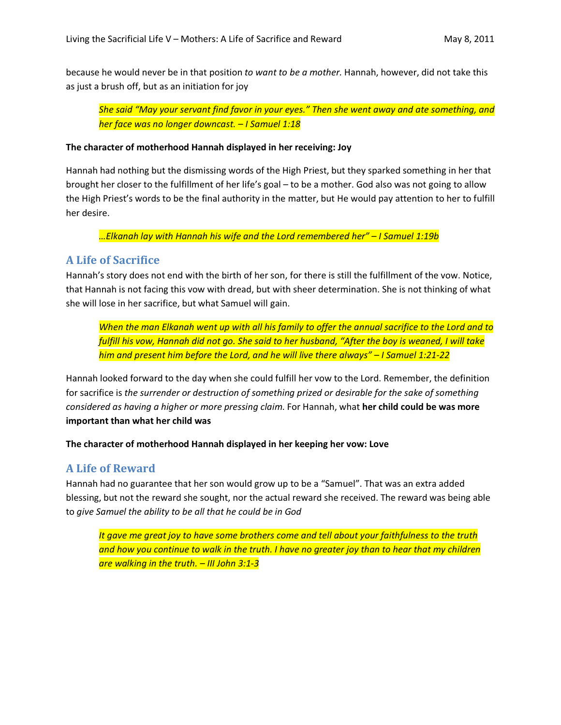because he would never be in that position to want to be a mother. Hannah, however, did not take this as just a brush off, but as an initiation for joy

She said "May your servant find favor in your eyes." Then she went away and ate something, and her face was no longer downcast. – I Samuel 1:18

#### The character of motherhood Hannah displayed in her receiving: Joy

Hannah had nothing but the dismissing words of the High Priest, but they sparked something in her that brought her closer to the fulfillment of her life's goal – to be a mother. God also was not going to allow the High Priest's words to be the final authority in the matter, but He would pay attention to her to fulfill her desire.

…Elkanah lay with Hannah his wife and the Lord remembered her" – I Samuel 1:19b

## A Life of Sacrifice

Hannah's story does not end with the birth of her son, for there is still the fulfillment of the vow. Notice, that Hannah is not facing this vow with dread, but with sheer determination. She is not thinking of what she will lose in her sacrifice, but what Samuel will gain.

When the man Elkanah went up with all his family to offer the annual sacrifice to the Lord and to fulfill his vow, Hannah did not go. She said to her husband, "After the boy is weaned, I will take him and present him before the Lord, and he will live there always" – I Samuel 1:21-22

Hannah looked forward to the day when she could fulfill her vow to the Lord. Remember, the definition for sacrifice is the surrender or destruction of something prized or desirable for the sake of something considered as having a higher or more pressing claim. For Hannah, what her child could be was more important than what her child was

#### The character of motherhood Hannah displayed in her keeping her vow: Love

## A Life of Reward

Hannah had no guarantee that her son would grow up to be a "Samuel". That was an extra added blessing, but not the reward she sought, nor the actual reward she received. The reward was being able to give Samuel the ability to be all that he could be in God

It gave me great joy to have some brothers come and tell about your faithfulness to the truth and how you continue to walk in the truth. I have no greater joy than to hear that my children are walking in the truth. - III John 3:1-3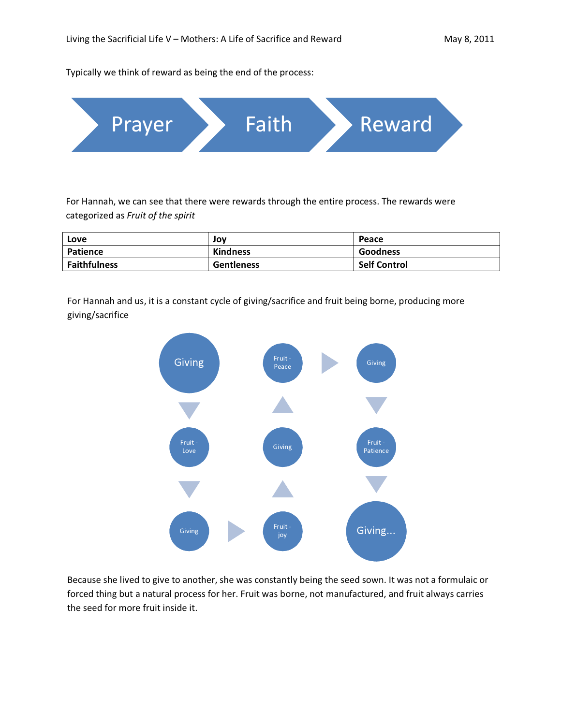Typically we think of reward as being the end of the process:



For Hannah, we can see that there were rewards through the entire process. The rewards were categorized as Fruit of the spirit

| Love                | Jov               | Peace               |
|---------------------|-------------------|---------------------|
| Patience            | <b>Kindness</b>   | Goodness            |
| <b>Faithfulness</b> | <b>Gentleness</b> | <b>Self Control</b> |

For Hannah and us, it is a constant cycle of giving/sacrifice and fruit being borne, producing more giving/sacrifice



Because she lived to give to another, she was constantly being the seed sown. It was not a formulaic or forced thing but a natural process for her. Fruit was borne, not manufactured, and fruit always carries the seed for more fruit inside it.